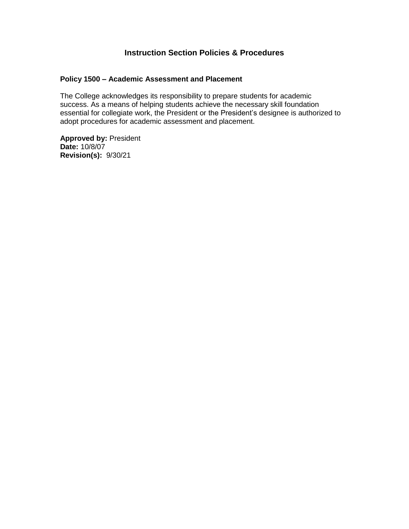## **Instruction Section Policies & Procedures**

#### **Policy 1500 – Academic Assessment and Placement**

The College acknowledges its responsibility to prepare students for academic success. As a means of helping students achieve the necessary skill foundation essential for collegiate work, the President or the President's designee is authorized to adopt procedures for academic assessment and placement.

**Approved by:** President **Date:** 10/8/07 **Revision(s):** 9/30/21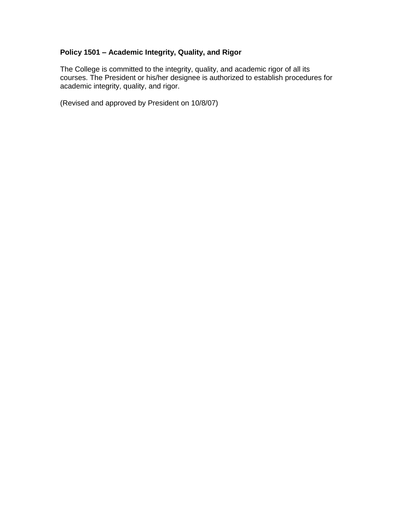#### **Policy 1501 – Academic Integrity, Quality, and Rigor**

The College is committed to the integrity, quality, and academic rigor of all its courses. The President or his/her designee is authorized to establish procedures for academic integrity, quality, and rigor.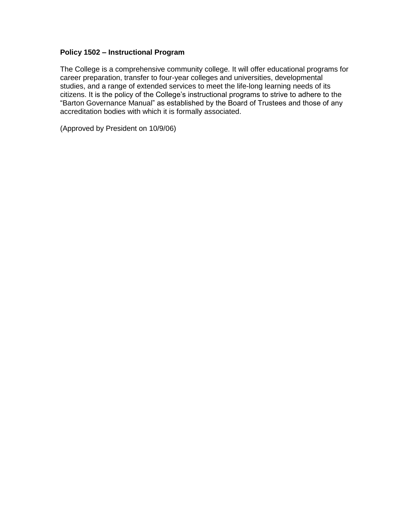#### **Policy 1502 – Instructional Program**

The College is a comprehensive community college. It will offer educational programs for career preparation, transfer to four-year colleges and universities, developmental studies, and a range of extended services to meet the life-long learning needs of its citizens. It is the policy of the College's instructional programs to strive to adhere to the "Barton Governance Manual" as established by the Board of Trustees and those of any accreditation bodies with which it is formally associated.

(Approved by President on 10/9/06)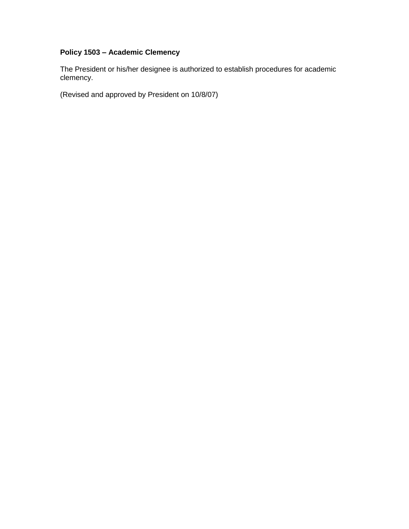# **Policy 1503 – Academic Clemency**

The President or his/her designee is authorized to establish procedures for academic clemency.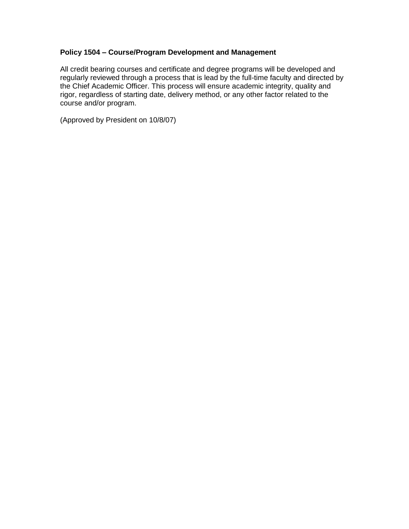#### **Policy 1504 – Course/Program Development and Management**

All credit bearing courses and certificate and degree programs will be developed and regularly reviewed through a process that is lead by the full-time faculty and directed by the Chief Academic Officer. This process will ensure academic integrity, quality and rigor, regardless of starting date, delivery method, or any other factor related to the course and/or program.

(Approved by President on 10/8/07)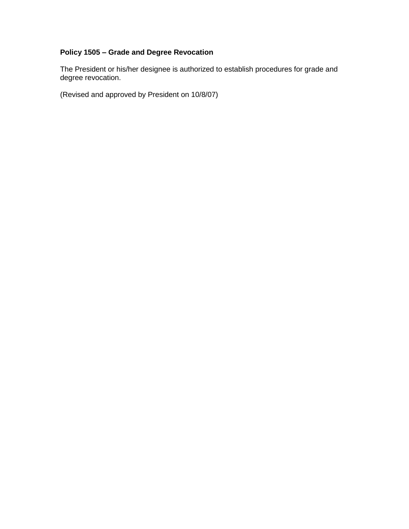#### **Policy 1505 – Grade and Degree Revocation**

The President or his/her designee is authorized to establish procedures for grade and degree revocation.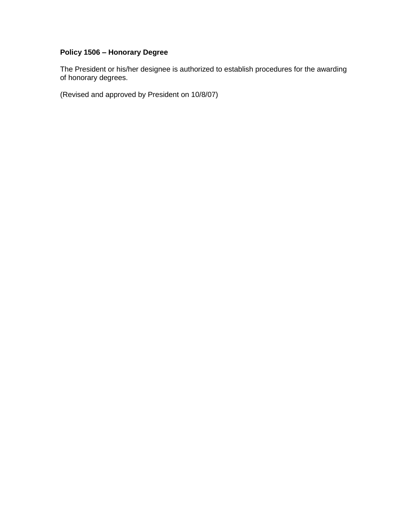#### **Policy 1506 – Honorary Degree**

The President or his/her designee is authorized to establish procedures for the awarding of honorary degrees.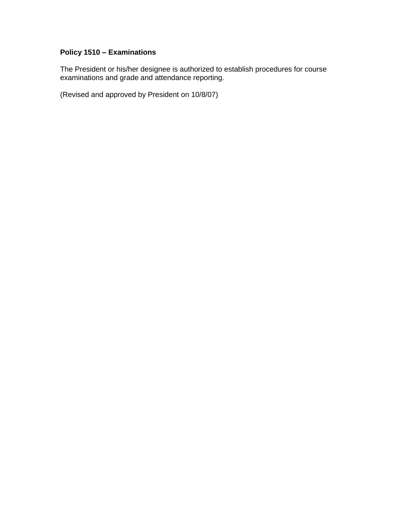#### **Policy 1510 – Examinations**

The President or his/her designee is authorized to establish procedures for course examinations and grade and attendance reporting.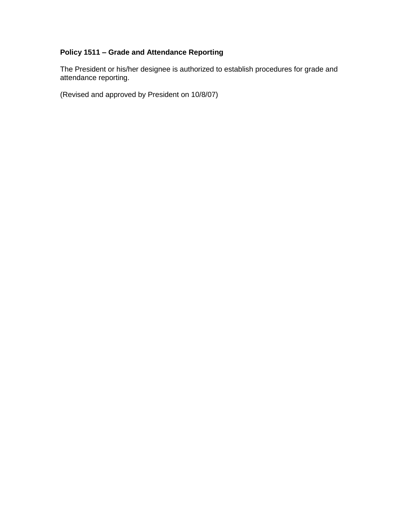#### **Policy 1511 – Grade and Attendance Reporting**

The President or his/her designee is authorized to establish procedures for grade and attendance reporting.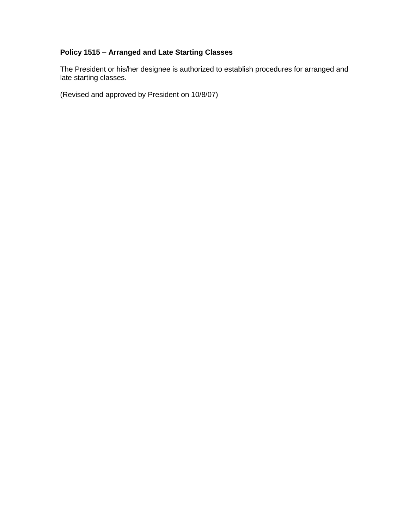#### **Policy 1515 – Arranged and Late Starting Classes**

The President or his/her designee is authorized to establish procedures for arranged and late starting classes.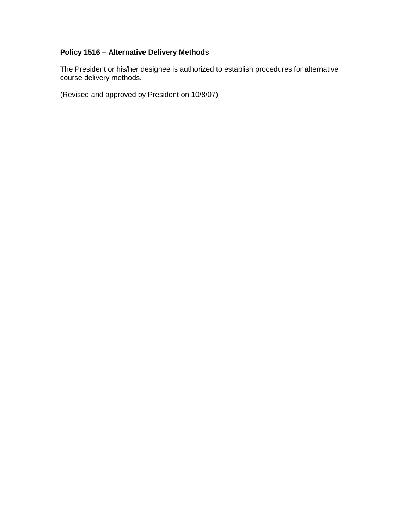#### **Policy 1516 – Alternative Delivery Methods**

The President or his/her designee is authorized to establish procedures for alternative course delivery methods.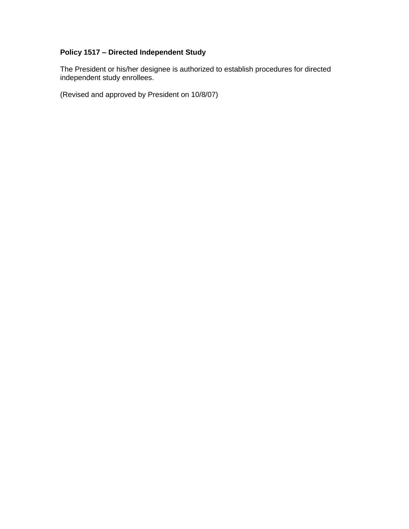#### **Policy 1517 – Directed Independent Study**

The President or his/her designee is authorized to establish procedures for directed independent study enrollees.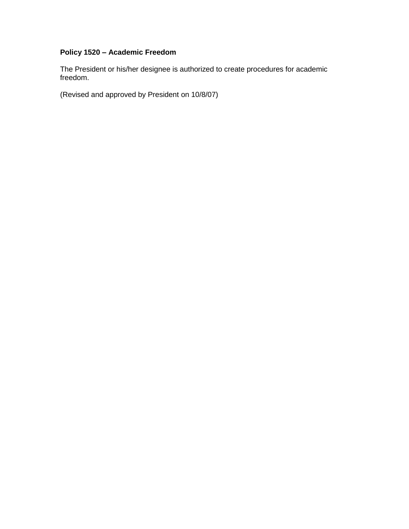### **Policy 1520 – Academic Freedom**

The President or his/her designee is authorized to create procedures for academic freedom.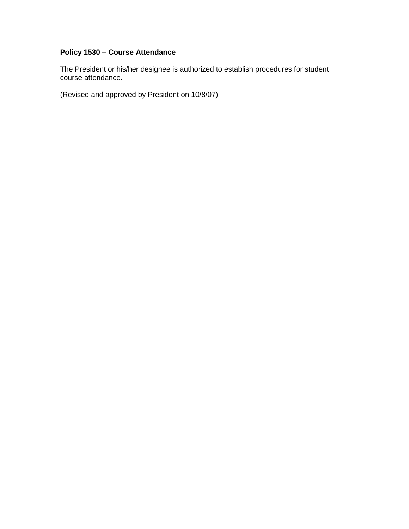#### **Policy 1530 – Course Attendance**

The President or his/her designee is authorized to establish procedures for student course attendance.